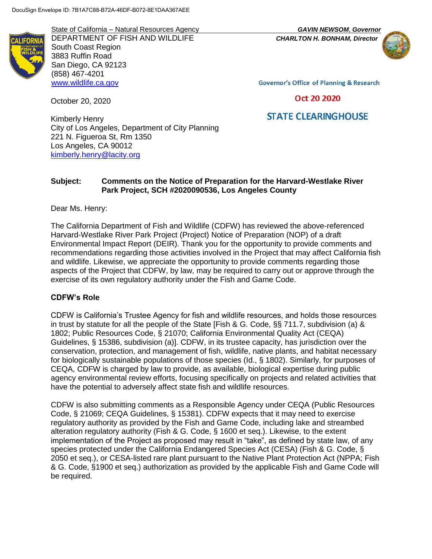State of California – Natural Resources Agency *GAVIN NEWSOM*, *Governor* DEPARTMENT OF FISH AND WILDLIFE *CHARLTON H. BONHAM, Director* South Coast Region 3883 Ruffin Road San Diego, CA 92123 (858) 467-4201 [www.wildlife.ca.gov](http://www.wildlife.ca.gov/)



**Governor's Office of Planning & Research** 

### Oct 20 2020

# **STATE CLEARINGHOUSE**

Kimberly Henry City of Los Angeles, Department of City Planning 221 N. Figueroa St, Rm 1350 Los Angeles, CA 90012 [kimberly.henry@lacity.org](mailto:Los.Angeles_Anaheim@hsr.ca.gov)

#### **Subject: Comments on the Notice of Preparation for the Harvard-Westlake River Park Project, SCH #2020090536, Los Angeles County**

Dear Ms. Henry:

October 20, 2020

The California Department of Fish and Wildlife (CDFW) has reviewed the above-referenced Harvard-Westlake River Park Project (Project) Notice of Preparation (NOP) of a draft Environmental Impact Report (DEIR). Thank you for the opportunity to provide comments and recommendations regarding those activities involved in the Project that may affect California fish and wildlife. Likewise, we appreciate the opportunity to provide comments regarding those aspects of the Project that CDFW, by law, may be required to carry out or approve through the exercise of its own regulatory authority under the Fish and Game Code.

#### **CDFW's Role**

CDFW is California's Trustee Agency for fish and wildlife resources, and holds those resources in trust by statute for all the people of the State [Fish & G. Code, §§ 711.7, subdivision (a) & 1802; Public Resources Code, § 21070; California Environmental Quality Act (CEQA) Guidelines, § 15386, subdivision (a)]. CDFW, in its trustee capacity, has jurisdiction over the conservation, protection, and management of fish, wildlife, native plants, and habitat necessary for biologically sustainable populations of those species (Id., § 1802). Similarly, for purposes of CEQA, CDFW is charged by law to provide, as available, biological expertise during public agency environmental review efforts, focusing specifically on projects and related activities that have the potential to adversely affect state fish and wildlife resources.

CDFW is also submitting comments as a Responsible Agency under CEQA (Public Resources Code, § 21069; CEQA Guidelines, § 15381). CDFW expects that it may need to exercise regulatory authority as provided by the Fish and Game Code, including lake and streambed alteration regulatory authority (Fish & G. Code, § 1600 et seq.). Likewise, to the extent implementation of the Project as proposed may result in "take", as defined by state law, of any species protected under the California Endangered Species Act (CESA) (Fish & G. Code, § 2050 et seq.), or CESA-listed rare plant pursuant to the Native Plant Protection Act (NPPA; Fish & G. Code, §1900 et seq.) authorization as provided by the applicable Fish and Game Code will be required.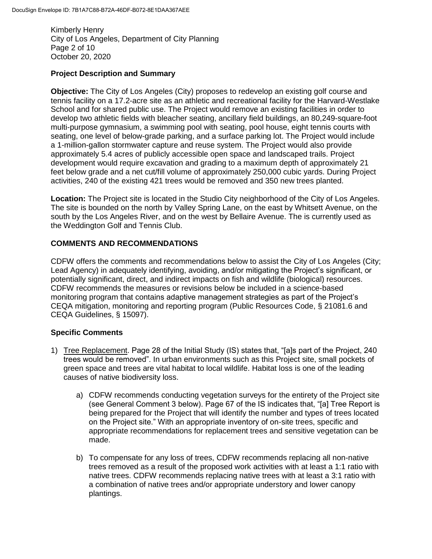Kimberly Henry City of Los Angeles, Department of City Planning Page 2 of 10 October 20, 2020

### **Project Description and Summary**

**Objective:** The City of Los Angeles (City) proposes to redevelop an existing golf course and tennis facility on a 17.2-acre site as an athletic and recreational facility for the Harvard-Westlake School and for shared public use. The Project would remove an existing facilities in order to develop two athletic fields with bleacher seating, ancillary field buildings, an 80,249-square-foot multi-purpose gymnasium, a swimming pool with seating, pool house, eight tennis courts with seating, one level of below-grade parking, and a surface parking lot. The Project would include a 1-million-gallon stormwater capture and reuse system. The Project would also provide approximately 5.4 acres of publicly accessible open space and landscaped trails. Project development would require excavation and grading to a maximum depth of approximately 21 feet below grade and a net cut/fill volume of approximately 250,000 cubic yards. During Project activities, 240 of the existing 421 trees would be removed and 350 new trees planted.

**Location:** The Project site is located in the Studio City neighborhood of the City of Los Angeles. The site is bounded on the north by Valley Spring Lane, on the east by Whitsett Avenue, on the south by the Los Angeles River, and on the west by Bellaire Avenue. The is currently used as the Weddington Golf and Tennis Club.

## **COMMENTS AND RECOMMENDATIONS**

CDFW offers the comments and recommendations below to assist the City of Los Angeles (City; Lead Agency) in adequately identifying, avoiding, and/or mitigating the Project's significant, or potentially significant, direct, and indirect impacts on fish and wildlife (biological) resources. CDFW recommends the measures or revisions below be included in a science-based monitoring program that contains adaptive management strategies as part of the Project's CEQA mitigation, monitoring and reporting program (Public Resources Code, § 21081.6 and CEQA Guidelines, § 15097).

### **Specific Comments**

- 1) Tree Replacement. Page 28 of the Initial Study (IS) states that, "[a]s part of the Project, 240 trees would be removed". In urban environments such as this Project site, small pockets of green space and trees are vital habitat to local wildlife. Habitat loss is one of the leading causes of native biodiversity loss.
	- a) CDFW recommends conducting vegetation surveys for the entirety of the Project site (see General Comment 3 below). Page 67 of the IS indicates that, "[a] Tree Report is being prepared for the Project that will identify the number and types of trees located on the Project site." With an appropriate inventory of on-site trees, specific and appropriate recommendations for replacement trees and sensitive vegetation can be made.
	- b) To compensate for any loss of trees, CDFW recommends replacing all non-native trees removed as a result of the proposed work activities with at least a 1:1 ratio with native trees. CDFW recommends replacing native trees with at least a 3:1 ratio with a combination of native trees and/or appropriate understory and lower canopy plantings.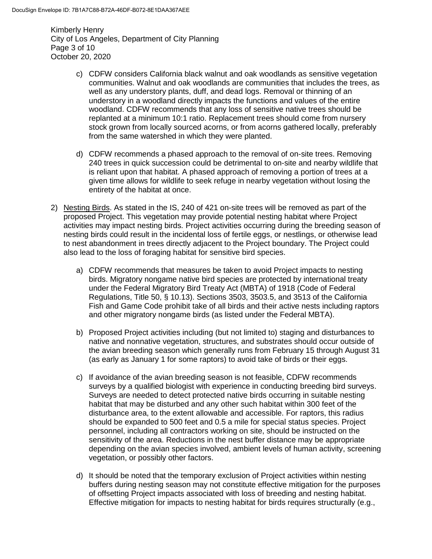Kimberly Henry City of Los Angeles, Department of City Planning Page 3 of 10 October 20, 2020

- c) CDFW considers California black walnut and oak woodlands as sensitive vegetation communities. Walnut and oak woodlands are communities that includes the trees, as well as any understory plants, duff, and dead logs. Removal or thinning of an understory in a woodland directly impacts the functions and values of the entire woodland. CDFW recommends that any loss of sensitive native trees should be replanted at a minimum 10:1 ratio. Replacement trees should come from nursery stock grown from locally sourced acorns, or from acorns gathered locally, preferably from the same watershed in which they were planted.
- d) CDFW recommends a phased approach to the removal of on-site trees. Removing 240 trees in quick succession could be detrimental to on-site and nearby wildlife that is reliant upon that habitat. A phased approach of removing a portion of trees at a given time allows for wildlife to seek refuge in nearby vegetation without losing the entirety of the habitat at once.
- 2) Nesting Birds. As stated in the IS, 240 of 421 on-site trees will be removed as part of the proposed Project. This vegetation may provide potential nesting habitat where Project activities may impact nesting birds. Project activities occurring during the breeding season of nesting birds could result in the incidental loss of fertile eggs, or nestlings, or otherwise lead to nest abandonment in trees directly adjacent to the Project boundary. The Project could also lead to the loss of foraging habitat for sensitive bird species.
	- a) CDFW recommends that measures be taken to avoid Project impacts to nesting birds. Migratory nongame native bird species are protected by international treaty under the Federal Migratory Bird Treaty Act (MBTA) of 1918 (Code of Federal Regulations, Title 50, § 10.13). Sections 3503, 3503.5, and 3513 of the California Fish and Game Code prohibit take of all birds and their active nests including raptors and other migratory nongame birds (as listed under the Federal MBTA).
	- b) Proposed Project activities including (but not limited to) staging and disturbances to native and nonnative vegetation, structures, and substrates should occur outside of the avian breeding season which generally runs from February 15 through August 31 (as early as January 1 for some raptors) to avoid take of birds or their eggs.
	- c) If avoidance of the avian breeding season is not feasible, CDFW recommends surveys by a qualified biologist with experience in conducting breeding bird surveys. Surveys are needed to detect protected native birds occurring in suitable nesting habitat that may be disturbed and any other such habitat within 300 feet of the disturbance area, to the extent allowable and accessible. For raptors, this radius should be expanded to 500 feet and 0.5 a mile for special status species. Project personnel, including all contractors working on site, should be instructed on the sensitivity of the area. Reductions in the nest buffer distance may be appropriate depending on the avian species involved, ambient levels of human activity, screening vegetation, or possibly other factors.
	- d) It should be noted that the temporary exclusion of Project activities within nesting buffers during nesting season may not constitute effective mitigation for the purposes of offsetting Project impacts associated with loss of breeding and nesting habitat. Effective mitigation for impacts to nesting habitat for birds requires structurally (e.g.,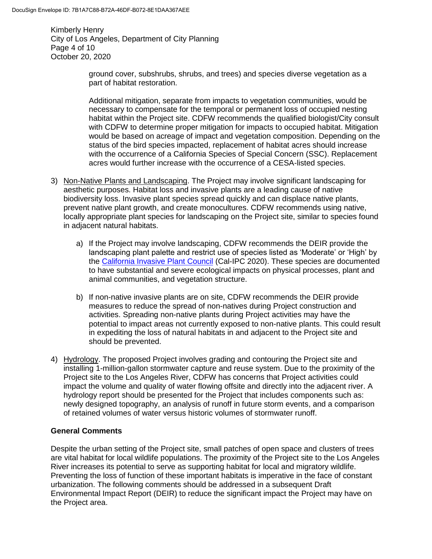Kimberly Henry City of Los Angeles, Department of City Planning Page 4 of 10 October 20, 2020

> ground cover, subshrubs, shrubs, and trees) and species diverse vegetation as a part of habitat restoration.

Additional mitigation, separate from impacts to vegetation communities, would be necessary to compensate for the temporal or permanent loss of occupied nesting habitat within the Project site. CDFW recommends the qualified biologist/City consult with CDFW to determine proper mitigation for impacts to occupied habitat. Mitigation would be based on acreage of impact and vegetation composition. Depending on the status of the bird species impacted, replacement of habitat acres should increase with the occurrence of a California Species of Special Concern (SSC). Replacement acres would further increase with the occurrence of a CESA-listed species.

- 3) Non-Native Plants and Landscaping. The Project may involve significant landscaping for aesthetic purposes. Habitat loss and invasive plants are a leading cause of native biodiversity loss. Invasive plant species spread quickly and can displace native plants, prevent native plant growth, and create monocultures. CDFW recommends using native, locally appropriate plant species for landscaping on the Project site, similar to species found in adjacent natural habitats.
	- a) If the Project may involve landscaping, CDFW recommends the DEIR provide the landscaping plant palette and restrict use of species listed as 'Moderate' or 'High' by the [California Invasive Plant Council](https://www.cal-ipc.org/plants/inventory/) (Cal-IPC 2020). These species are documented to have substantial and severe ecological impacts on physical processes, plant and animal communities, and vegetation structure.
	- b) If non-native invasive plants are on site, CDFW recommends the DEIR provide measures to reduce the spread of non-natives during Project construction and activities. Spreading non-native plants during Project activities may have the potential to impact areas not currently exposed to non-native plants. This could result in expediting the loss of natural habitats in and adjacent to the Project site and should be prevented.
- 4) Hydrology. The proposed Project involves grading and contouring the Project site and installing 1-million-gallon stormwater capture and reuse system. Due to the proximity of the Project site to the Los Angeles River, CDFW has concerns that Project activities could impact the volume and quality of water flowing offsite and directly into the adjacent river. A hydrology report should be presented for the Project that includes components such as: newly designed topography, an analysis of runoff in future storm events, and a comparison of retained volumes of water versus historic volumes of stormwater runoff.

# **General Comments**

Despite the urban setting of the Project site, small patches of open space and clusters of trees are vital habitat for local wildlife populations. The proximity of the Project site to the Los Angeles River increases its potential to serve as supporting habitat for local and migratory wildlife. Preventing the loss of function of these important habitats is imperative in the face of constant urbanization. The following comments should be addressed in a subsequent Draft Environmental Impact Report (DEIR) to reduce the significant impact the Project may have on the Project area.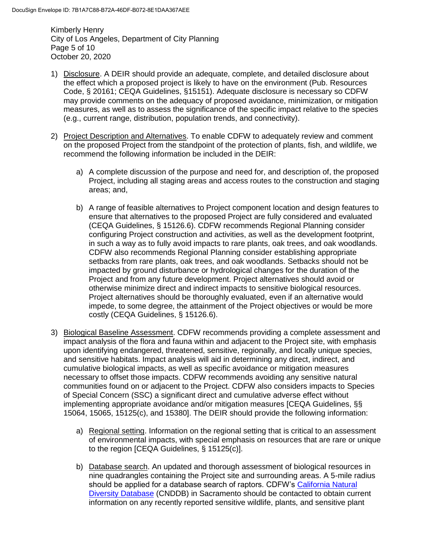Kimberly Henry City of Los Angeles, Department of City Planning Page 5 of 10 October 20, 2020

- 1) Disclosure. A DEIR should provide an adequate, complete, and detailed disclosure about the effect which a proposed project is likely to have on the environment (Pub. Resources Code, § 20161; CEQA Guidelines, §15151). Adequate disclosure is necessary so CDFW may provide comments on the adequacy of proposed avoidance, minimization, or mitigation measures, as well as to assess the significance of the specific impact relative to the species (e.g., current range, distribution, population trends, and connectivity).
- 2) Project Description and Alternatives. To enable CDFW to adequately review and comment on the proposed Project from the standpoint of the protection of plants, fish, and wildlife, we recommend the following information be included in the DEIR:
	- a) A complete discussion of the purpose and need for, and description of, the proposed Project, including all staging areas and access routes to the construction and staging areas; and,
	- b) A range of feasible alternatives to Project component location and design features to ensure that alternatives to the proposed Project are fully considered and evaluated (CEQA Guidelines, § 15126.6). CDFW recommends Regional Planning consider configuring Project construction and activities, as well as the development footprint, in such a way as to fully avoid impacts to rare plants, oak trees, and oak woodlands. CDFW also recommends Regional Planning consider establishing appropriate setbacks from rare plants, oak trees, and oak woodlands. Setbacks should not be impacted by ground disturbance or hydrological changes for the duration of the Project and from any future development. Project alternatives should avoid or otherwise minimize direct and indirect impacts to sensitive biological resources. Project alternatives should be thoroughly evaluated, even if an alternative would impede, to some degree, the attainment of the Project objectives or would be more costly (CEQA Guidelines, § 15126.6).
- 3) Biological Baseline Assessment. CDFW recommends providing a complete assessment and impact analysis of the flora and fauna within and adjacent to the Project site, with emphasis upon identifying endangered, threatened, sensitive, regionally, and locally unique species, and sensitive habitats. Impact analysis will aid in determining any direct, indirect, and cumulative biological impacts, as well as specific avoidance or mitigation measures necessary to offset those impacts. CDFW recommends avoiding any sensitive natural communities found on or adjacent to the Project. CDFW also considers impacts to Species of Special Concern (SSC) a significant direct and cumulative adverse effect without implementing appropriate avoidance and/or mitigation measures [CEQA Guidelines, §§ 15064, 15065, 15125(c), and 15380]. The DEIR should provide the following information:
	- a) Regional setting. Information on the regional setting that is critical to an assessment of environmental impacts, with special emphasis on resources that are rare or unique to the region [CEQA Guidelines, § 15125(c)].
	- b) Database search. An updated and thorough assessment of biological resources in nine quadrangles containing the Project site and surrounding areas. A 5-mile radius should be applied for a database search of raptors. CDFW's [California Natural](https://wildlife.ca.gov/Data/CNDDB)  [Diversity Database](https://wildlife.ca.gov/Data/CNDDB) (CNDDB) in Sacramento should be contacted to obtain current information on any recently reported sensitive wildlife, plants, and sensitive plant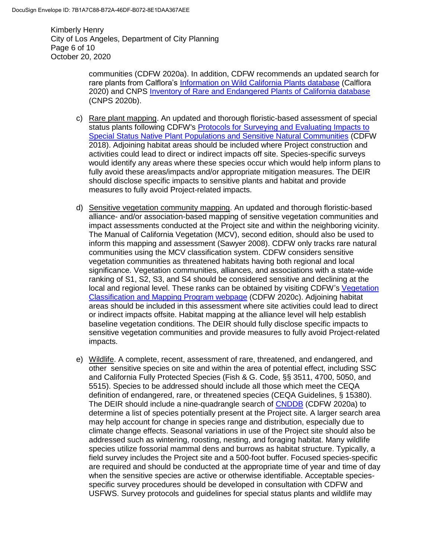Kimberly Henry City of Los Angeles, Department of City Planning Page 6 of 10 October 20, 2020

> communities (CDFW 2020a). In addition, CDFW recommends an updated search for rare plants from Calflora's [Information on Wild California Plants database](https://www.calflora.org/) (Calflora 2020) and CNPS [Inventory of Rare and Endangered Plants of California database](http://www.rareplants.cnps.org/) (CNPS 2020b).

- c) Rare plant mapping. An updated and thorough floristic-based assessment of special status plants following CDFW's [Protocols for Surveying and Evaluating Impacts to](https://nrm.dfg.ca.gov/FileHandler.ashx?DocumentID=18959&inline)  [Special Status Native Plant Populations and Sensitive Natural Communities](https://nrm.dfg.ca.gov/FileHandler.ashx?DocumentID=18959&inline) (CDFW 2018). Adjoining habitat areas should be included where Project construction and activities could lead to direct or indirect impacts off site. Species-specific surveys would identify any areas where these species occur which would help inform plans to fully avoid these areas/impacts and/or appropriate mitigation measures. The DEIR should disclose specific impacts to sensitive plants and habitat and provide measures to fully avoid Project-related impacts.
- d) Sensitive vegetation community mapping. An updated and thorough floristic-based alliance- and/or association-based mapping of sensitive vegetation communities and impact assessments conducted at the Project site and within the neighboring vicinity. The Manual of California Vegetation (MCV), second edition, should also be used to inform this mapping and assessment (Sawyer 2008). CDFW only tracks rare natural communities using the MCV classification system. CDFW considers sensitive vegetation communities as threatened habitats having both regional and local significance. Vegetation communities, alliances, and associations with a state-wide ranking of S1, S2, S3, and S4 should be considered sensitive and declining at the local and regional level. These ranks can be obtained by visiting CDFW's [Vegetation](https://wildlife.ca.gov/Data/VegCAMP/Natural-Communities)  [Classification and Mapping Program webpage](https://wildlife.ca.gov/Data/VegCAMP/Natural-Communities) (CDFW 2020c). Adjoining habitat areas should be included in this assessment where site activities could lead to direct or indirect impacts offsite. Habitat mapping at the alliance level will help establish baseline vegetation conditions. The DEIR should fully disclose specific impacts to sensitive vegetation communities and provide measures to fully avoid Project-related impacts.
- e) Wildlife. A complete, recent, assessment of rare, threatened, and endangered, and other sensitive species on site and within the area of potential effect, including SSC and California Fully Protected Species (Fish & G. Code, §§ 3511, 4700, 5050, and 5515). Species to be addressed should include all those which meet the CEQA definition of endangered, rare, or threatened species (CEQA Guidelines, § 15380). The DEIR should include a nine-quadrangle search of [CNDDB](https://wildlife.ca.gov/Data/CNDDB) (CDFW 2020a) to determine a list of species potentially present at the Project site. A larger search area may help account for change in species range and distribution, especially due to climate change effects. Seasonal variations in use of the Project site should also be addressed such as wintering, roosting, nesting, and foraging habitat. Many wildlife species utilize fossorial mammal dens and burrows as habitat structure. Typically, a field survey includes the Project site and a 500-foot buffer. Focused species-specific are required and should be conducted at the appropriate time of year and time of day when the sensitive species are active or otherwise identifiable. Acceptable speciesspecific survey procedures should be developed in consultation with CDFW and USFWS. Survey protocols and guidelines for special status plants and wildlife may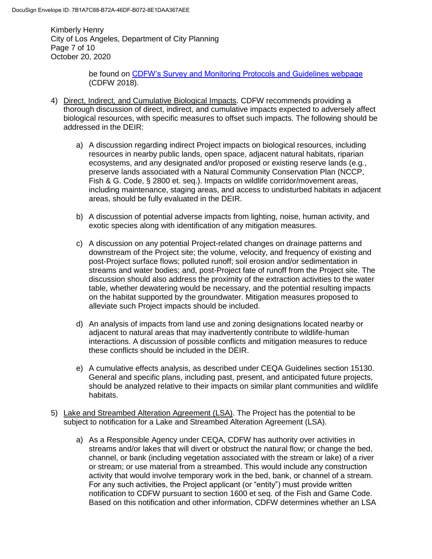Kimberly Henry City of Los Angeles, Department of City Planning Page 7 of 10 October 20, 2020

> be found on [CDFW's Survey and Monitoring Protocols and Guidelines webpage](https://wildlife.ca.gov/Conservation/Survey-Protocols) (CDFW 2018).

- 4) Direct, Indirect, and Cumulative Biological Impacts. CDFW recommends providing a thorough discussion of direct, indirect, and cumulative impacts expected to adversely affect biological resources, with specific measures to offset such impacts. The following should be addressed in the DEIR:
	- a) A discussion regarding indirect Project impacts on biological resources, including resources in nearby public lands, open space, adjacent natural habitats, riparian ecosystems, and any designated and/or proposed or existing reserve lands (e.g*.*, preserve lands associated with a Natural Community Conservation Plan (NCCP, Fish & G. Code, § 2800 et. seq.). Impacts on wildlife corridor/movement areas, including maintenance, staging areas, and access to undisturbed habitats in adjacent areas, should be fully evaluated in the DEIR.
	- b) A discussion of potential adverse impacts from lighting, noise, human activity, and exotic species along with identification of any mitigation measures.
	- c) A discussion on any potential Project-related changes on drainage patterns and downstream of the Project site; the volume, velocity, and frequency of existing and post-Project surface flows; polluted runoff; soil erosion and/or sedimentation in streams and water bodies; and, post-Project fate of runoff from the Project site. The discussion should also address the proximity of the extraction activities to the water table, whether dewatering would be necessary, and the potential resulting impacts on the habitat supported by the groundwater. Mitigation measures proposed to alleviate such Project impacts should be included.
	- d) An analysis of impacts from land use and zoning designations located nearby or adjacent to natural areas that may inadvertently contribute to wildlife-human interactions. A discussion of possible conflicts and mitigation measures to reduce these conflicts should be included in the DEIR.
	- e) A cumulative effects analysis, as described under CEQA Guidelines section 15130. General and specific plans, including past, present, and anticipated future projects, should be analyzed relative to their impacts on similar plant communities and wildlife habitats.
- 5) Lake and Streambed Alteration Agreement (LSA). The Project has the potential to be subject to notification for a Lake and Streambed Alteration Agreement (LSA).
	- a) As a Responsible Agency under CEQA, CDFW has authority over activities in streams and/or lakes that will divert or obstruct the natural flow; or change the bed, channel, or bank (including vegetation associated with the stream or lake) of a river or stream; or use material from a streambed. This would include any construction activity that would involve temporary work in the bed, bank, or channel of a stream. For any such activities, the Project applicant (or "entity") must provide written notification to CDFW pursuant to section 1600 et seq. of the Fish and Game Code. Based on this notification and other information, CDFW determines whether an LSA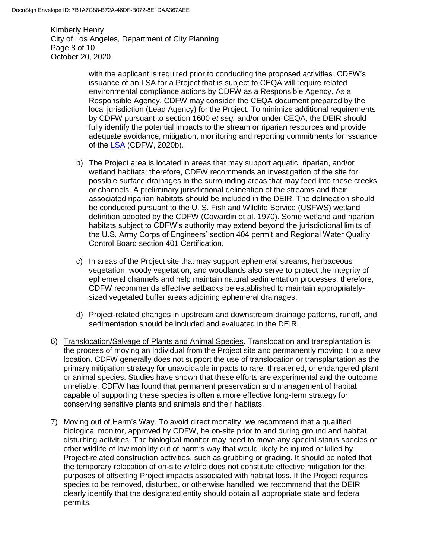Kimberly Henry City of Los Angeles, Department of City Planning Page 8 of 10 October 20, 2020

> with the applicant is required prior to conducting the proposed activities. CDFW's issuance of an LSA for a Project that is subject to CEQA will require related environmental compliance actions by CDFW as a Responsible Agency. As a Responsible Agency, CDFW may consider the CEQA document prepared by the local jurisdiction (Lead Agency) for the Project. To minimize additional requirements by CDFW pursuant to section 1600 *et seq.* and/or under CEQA, the DEIR should fully identify the potential impacts to the stream or riparian resources and provide adequate avoidance, mitigation, monitoring and reporting commitments for issuance of the [LSA](http://www.wildlife.ca.qov/habcon/1600) (CDFW, 2020b).

- b) The Project area is located in areas that may support aquatic, riparian, and/or wetland habitats; therefore, CDFW recommends an investigation of the site for possible surface drainages in the surrounding areas that may feed into these creeks or channels. A preliminary jurisdictional delineation of the streams and their associated riparian habitats should be included in the DEIR. The delineation should be conducted pursuant to the U. S. Fish and Wildlife Service (USFWS) wetland definition adopted by the CDFW (Cowardin et al. 1970). Some wetland and riparian habitats subject to CDFW's authority may extend beyond the jurisdictional limits of the U.S. Army Corps of Engineers' section 404 permit and Regional Water Quality Control Board section 401 Certification.
- c) In areas of the Project site that may support ephemeral streams, herbaceous vegetation, woody vegetation, and woodlands also serve to protect the integrity of ephemeral channels and help maintain natural sedimentation processes; therefore, CDFW recommends effective setbacks be established to maintain appropriatelysized vegetated buffer areas adjoining ephemeral drainages.
- d) Project-related changes in upstream and downstream drainage patterns, runoff, and sedimentation should be included and evaluated in the DEIR.
- 6) Translocation/Salvage of Plants and Animal Species. Translocation and transplantation is the process of moving an individual from the Project site and permanently moving it to a new location. CDFW generally does not support the use of translocation or transplantation as the primary mitigation strategy for unavoidable impacts to rare, threatened, or endangered plant or animal species. Studies have shown that these efforts are experimental and the outcome unreliable. CDFW has found that permanent preservation and management of habitat capable of supporting these species is often a more effective long-term strategy for conserving sensitive plants and animals and their habitats.
- 7) Moving out of Harm's Way. To avoid direct mortality, we recommend that a qualified biological monitor, approved by CDFW, be on-site prior to and during ground and habitat disturbing activities. The biological monitor may need to move any special status species or other wildlife of low mobility out of harm's way that would likely be injured or killed by Project-related construction activities, such as grubbing or grading. It should be noted that the temporary relocation of on-site wildlife does not constitute effective mitigation for the purposes of offsetting Project impacts associated with habitat loss. If the Project requires species to be removed, disturbed, or otherwise handled, we recommend that the DEIR clearly identify that the designated entity should obtain all appropriate state and federal permits.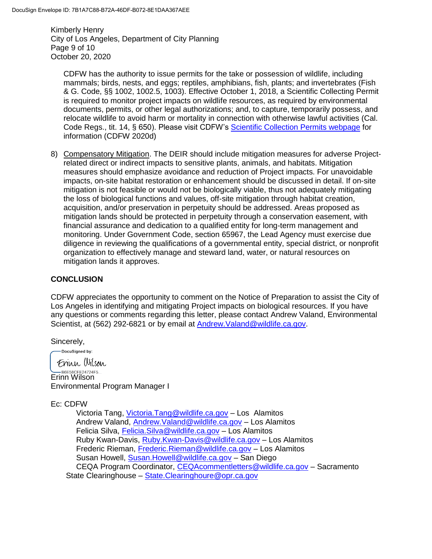Kimberly Henry City of Los Angeles, Department of City Planning Page 9 of 10 October 20, 2020

CDFW has the authority to issue permits for the take or possession of wildlife, including mammals; birds, nests, and eggs; reptiles, amphibians, fish, plants; and invertebrates (Fish & G. Code, §§ 1002, 1002.5, 1003). Effective October 1, 2018, a Scientific Collecting Permit is required to monitor project impacts on wildlife resources, as required by environmental documents, permits, or other legal authorizations; and, to capture, temporarily possess, and relocate wildlife to avoid harm or mortality in connection with otherwise lawful activities (Cal. Code Regs., tit. 14, § 650). Please visit CDFW's [Scientific Collection Permits webpage](https://wildlife.ca.gov/Licensing/Scientific-Collecting#53949678) for information (CDFW 2020d)

8) Compensatory Mitigation. The DEIR should include mitigation measures for adverse Projectrelated direct or indirect impacts to sensitive plants, animals, and habitats. Mitigation measures should emphasize avoidance and reduction of Project impacts. For unavoidable impacts, on-site habitat restoration or enhancement should be discussed in detail. If on-site mitigation is not feasible or would not be biologically viable, thus not adequately mitigating the loss of biological functions and values, off-site mitigation through habitat creation, acquisition, and/or preservation in perpetuity should be addressed. Areas proposed as mitigation lands should be protected in perpetuity through a conservation easement, with financial assurance and dedication to a qualified entity for long-term management and monitoring. Under Government Code, section 65967, the Lead Agency must exercise due diligence in reviewing the qualifications of a governmental entity, special district, or nonprofit organization to effectively manage and steward land, water, or natural resources on mitigation lands it approves.

### **CONCLUSION**

CDFW appreciates the opportunity to comment on the Notice of Preparation to assist the City of Los Angeles in identifying and mitigating Project impacts on biological resources. If you have any questions or comments regarding this letter, please contact Andrew Valand, Environmental Scientist, at (562) 292-6821 or by email at Andrew. Valand@wildlife.ca.gov.

Sincerely,

-DocuSigned by: Frinn Wilson BESSCFE24724F5... Environmental Program Manager I

#### Ec: CDFW

Victoria Tang, [Victoria.Tang@wildlife.ca.gov](mailto:Victoria.Tang@wildlife.ca.gov) – Los Alamitos Andrew Valand, [Andrew.Valand@wildlife.ca.gov](mailto:Andrew.Valand@wildlife.ca.gov) – Los Alamitos Felicia Silva, Felicia. Silva@wildlife.ca.gov - Los Alamitos Ruby Kwan-Davis, [Ruby.Kwan-Davis@wildlife.ca.gov](mailto:Ruby.Kwan-Davis@wildlife.ca.gov) – Los Alamitos Frederic Rieman, [Frederic.Rieman@wildlife.ca.gov](mailto:Frederic.Rieman@wildlife.ca.gov) – Los Alamitos Susan Howell, [Susan.Howell@wildlife.ca.gov](mailto:Susan.Howell@wildlife.ca.gov) – San Diego CEQA Program Coordinator, [CEQAcommentletters@wildlife.ca.gov](mailto:CEQAcommentletters@wildlife.ca.gov) – Sacramento State Clearinghouse – [State.Clearinghoure@opr.ca.gov](mailto:State.Clearinghoure@opr.ca.gov)